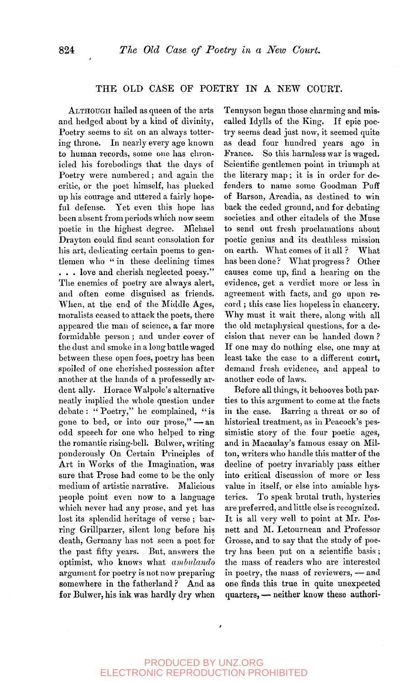## THE OLD CASE OF POETRY IN A NEW COURT.

ALTHOUGH hailed as queen of the arts and hedged about by a kind of divinity, Poetry seems to sit on an always tottering throne. In nearly every age known to human records, some one has chronicled liis forebodings that the days of Poetry were numbered; and again the critic, or the poet himself, has plucked up his courage and uttered a fairly hopeful defense. Yet even this hope has been absent from periods which now seem poetic in the highest degree. INlichael Drayton could find scant consolation for his art, dedicating certain poems to gentlemen who " in these declining times . . . love and cherish neglected poesy." The enemies of poetry are always alert, and often come disguised as friends. When, at the end of the Middle Ages, moralists ceased to attack the poets, there appeared the man of science, a far more formidable person ; and under cover of the dust and smoke in a long battle waged between these open foes, poetry has been spoiled of one cherished possession after another at the hands of a professedly ardent ally. Horace Walpole's alternative neatly implied the whole question under debate : " Poetry," he complained, " is gone to bed, or into our prose,"—an odd speech for one who helped to ring the romantic rising-bell. Bulwer, writing ponderously On Certain Principles of Art in Works of the Imagination, was sure that Prose had come to be the only medium of artistic narrative. Malicious people point even now to a language people point even now to a maguage which never had any prose, and yet has lost its splendid heritage of verse; barring Grillparzer, silent long before his death, Germany has not seen a poet for the past fifty years. But, answers the optimist, who knows what ambulando argument for poetry is not now preparing somewhere in the fatherland? And as<br>for Bulwer, his ink was hardly dry when

Tennyson began those charming and miscalled Idylls of the King. If epic poetry seems dead just now, it seemed quite as dead four hundred years ago in France. So this harmless war is waged. Scientific gentlemen point in triumph at the literary map; it is in order for defenders to name some Goodman Puff of Barson, Arcadia, as destined to win back the ceded ground, and for debating societies and other citadels of the Muse to send out fresh proclamations about poetic genius and its deathless mission on earth. What comes of it all ? What has been done ? What progress ? Other causes come up, find a hearing on the evidence, get a verdict more or less in agreement with facts, and go upon record ; this case lies hopeless in chancery. Why must it wait there, along with all the old metaphysical questions, for a decision that never can be handed down ? If one may do nothing else, one may at least take the case to a different court, demand fresh evidence, and appeal to another code of laws.

Before all things, it behooves both parties to this argument to come at the facts in the case. Barring a threat or so of historical treatment, as in Peacock's pessimistic story of the four poetic ages, and in Macaulay's famous essay on Milton, writers who handle this matter of the decline of poetry invariably pass either into critical discussion of more or less value in itself, or else into amiable hysterics. To speak brutal truth, hysterics are preferred, and little else is recognized. It is all very well to point at Mr. Posnett and M. Letourneau and Professor Grosse, and to say that the study of poetry has been put on a scientific basis ; the mass of readers who are interested in poetry, the mass of reviewers, - and one finds this true in quite unexpected quarters, — neither know these authori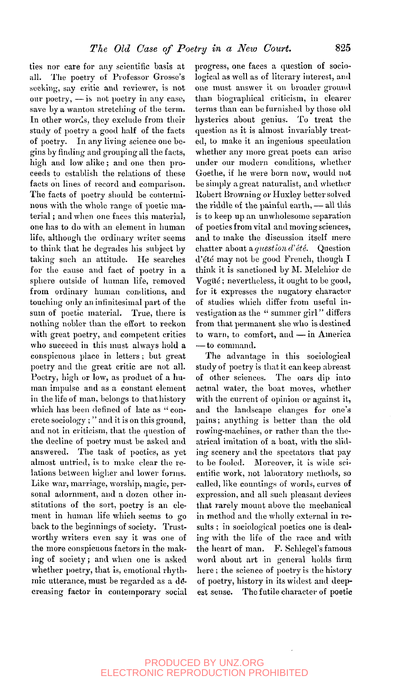ties nor care for any scientific basis at all. The poetry of Professor Grosse's seeking, say critic and reviewer, is not our poetry, —is not poetry in any case, save by a wanton stretching of the term. In other words, they exclude from their study of poetry a good half of the facts of poetry. In any living science one begins by finding and grouping all the facts, high and low alike ; and one then proceeds to establish the relations of these facts on lines of record and comparison. The facts of poetry should be conterminous with the whole range of poetic material ; and when one faces this material, one has to do with an element in human life, although the ordinary writer seems to think tliat he degrades his subject by taking such an attitude. He searches for the cause and fact of poetry in a sphere outside of human life, removed from ordinary human conditions, and touching only an infinitesimal part of the sum of poetic material. True, there is nothing nobler than the effort to reckon with great poetry, and competent critics who succeed in this must always hold a conspicuous place in letters ; but great poetry and the great critic are not all. Poetry, high or low, as product of a human impulse and as a constant element in the life of man, belongs to that history which has been defined of late as " concrete sociology ; " and it is on this ground, and not in criticism, that the question of the decline of poetry must be asked and answered. The task of poetics, as yet almost untried, is to make clear the relations between higher and lower forms. Like war, marriage, worship, magic, personal adornment, and a dozen other institutions of the sort, poetry is an element in human life which seems to go back to the beginnings of society. Trustworthy writers even say it was one of the more conspicuous factors in the making more conspicuous nectors in the makwhen one is asked whether poetry, that is, emotional rhythmic utterance, must be regarded as a decreasing factor in contemporary social

progress, one faces a question of sociological as well as of literary interest, and one must answer it on broader ground than biographical criticism, in clearer terms than can be furnished by those old hysterics about genius. To treat the question as it is almost invariably treated, to make it an ingenious speculation whether any more great poets can arise under our modern conditions, whether Goethe, if he were born now, would not be simply a great naturalist, and whether Robert Browning or Huxley better solved the riddle of the painful earth, — all this is to keep up an unwholesome separation of poetics from vital and moving sciences, and to make the discussion itself mere chatter about a question d'été. Question d'été may not be good French, though I think it is sanctioned by M. Melchior de Vogüé; nevertheless, it ought to be good, for it expresses the nugatory character of studies which differ from useful Investigation as the " summer girl " differs from that permanent she who is destined to warn, to comfort, and — in America — to command.

The advantage in this sociological study of poetry is that it can keep abreast of other sciences. The oars dip into actual water, the boat moves, whether with the current of opinion or against it, and the landscape changes for one's pains; anything is better than the old rowing-machines, or rather than the theatrical imitation of a boat, with the sliding scenery and the spectators that pay to be fooled. Moreover, It is wide scientific work, not laboratory methods, so called, like countings of words, curves of expression, and all such pleasant devices that rarely mount above the mechanical in method and the wholly external in results ; in sociological poetics one is dealing with the life of the race and with the heart of man. F. Schlegel's famous word about art in general holds firm here ; the science of poetry is the history of poetry, history in its widest and deepest sense. The futile character of poetic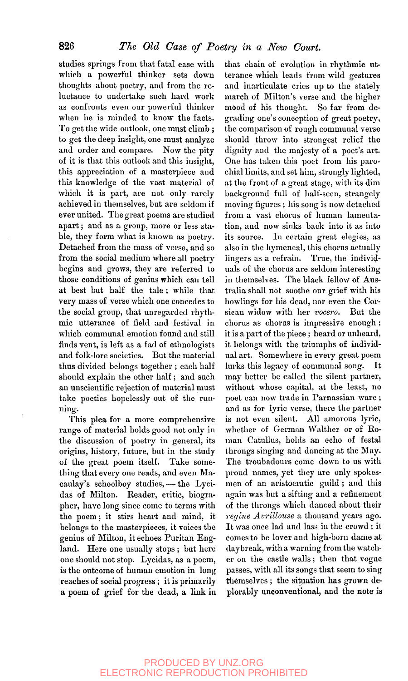studies springs from that fatal ease with which a powerful thinker sets down thoughts about poetry, and from the reluctance to undertake such hard work as confronts even our powerful thinker when he is minded to know the facts. To get the wide outlook, one must climb ; to get the deep insight, one must analyze and order and compare. Now the pity of it is that this outlook and this insight, this appreciation of a masterpiece and this knowledge of the vast material of which it is part, are not only rarely achieved in themselves, but are seldom if ever united. The great poems are studied apart; and as a group, more or less stable, they form what is known as poetry. Detached from the mass of verse, and so from the social medium where all poetry begins and grows, they are referred to those conditions of genius which can tell at best but half the tale; while that very mass of verse which one concedes to the social group, that unregarded rhythmic utterance of field and festival in which communal emotion found and still finds vent, is left as a fad of ethnologists and folk-lore societies. But the material thus divided belongs together ; each half should explain the other half; and such an unscientific rejection of material must take poetics hopelessly out of the running.

This plea for a more comprehensive range of material holds good not only in the discussion of poetry in general, its origins, history, future, but in the study of the great poem itself. Take something that every one reads, and even Macaulay's schoolboy studies, — the Lycidas of Milton. Reader, critic, biographer, have long since come to terras with the poem; it stirs heart and mind, it belongs to the masterpieces, it voices the genius of Milton, it echoes Puritan England. Here one usually stops ; but here one should not stop. Lycidas, as a poem, is the outcome of human emotion in long reaches of social progress ; it is primarily a poem of grief for the dead, a link in

that chain of evolution in rhythmic utterance which leads from wild gestures and inarticulate cries up to the stately march of Milton's verse and the higher mood of his thought. So far from degrading one's conception of great poetry, the comparison of rough communal verse should throw into strongest relief the dignity and the majesty of a poet's art. One has taken this poet from his parochial limits, and set him, strongly lighted, at the front of a great stage, with its dim background full of half-seen, strangely moving figures ; his song is now detached from a vast chorus of human lamentation, and now sinks back into it as into its source. In certain great elegies, as also in the hymeneal, this chorus actually lingers as a refrain. True, the individuals of the chorus are seldom interesting in themselves. The black fellow of Australia shall not soothe our grief with his bowlings for his dead, nor even the Corsiean widow with her *vocero.* But the chorus as chorus is impressive enough ; it is a part of the piece ; heard or unheard, it belongs with the triumphs of individual art. Somewhere in every great poem lurks this legacy of communal song. It may better be called the silent partner, without whose capital, at the least, no poet can now trade in Parnassian ware ; and as for lyric verse, there the partner is not even silent. All amorous lyric, whether of German Walther or of Roman Catullus, holds an echo of festal throngs singing and dancing at the May. The troubadours come down to us with proud names, yet they are only spokesmen of an aristocratic guild ; and this again was but a sifting and a refinement of the throngs which danced about their *regine Avrillouse* a thousand years ago. It was once lad and lass in the crowd ; it Let was once fact and has  $\ln$  bit crowd, it comes to be lover and ingu-born dame at daybreak, with a warning from the watcher on the castle walls; then that vogue passes, with all its songs that seem to sing themselves; the situation has grown de-<br>plorably unconventional, and the note is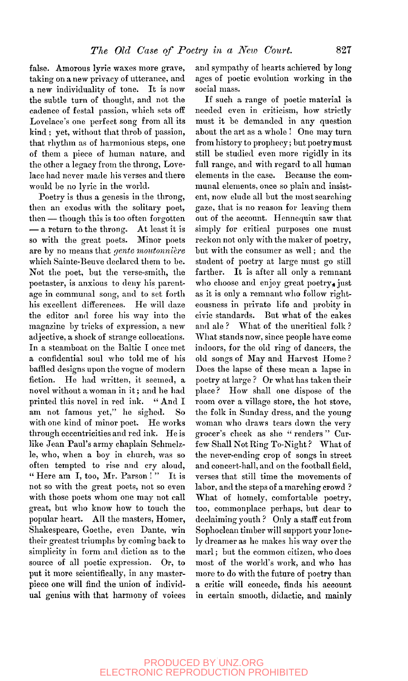false. Amorous lyric waxes more grave, taking on a new privacy of utterance, and a new individuality of tone. It is now the subtle turn of thought, and not the cadence of festal passion, which sets off Lovelace's one perfect song from all its kind ; yet, without that throb of passion, that rhythm as of harmonious steps, one of them a piece of human nature, and the other a legacy from the throng, Lovelace had never made his verses and there would be no lyric in the world.

Poetry is thus a genesis in the throng, then an exodus with the solitary poet, then — though this is too often forgotten — a return to the throng. At least it is so with the great poets. Minor poets are by no means that *gente moutonnière* which Sainte-Beuve declared them to be. Not the poet, but the verse-smith, the poetaster, is anxious to deny his parentage in communal song, and to set forth his excellent differences. He will daze the editor and force his way into the magazine by tricks of expression, a new adjective, a shock of strange collocations. In a steamboat on the Baltic I once met a confidential soul who told me of his baffled designs upon the vogue of modern fiction. He had written, it seemed, a novel without a woman in it; and he had printed this novel in red ink. " And I am not famous yet," he sighed. So with one kind of minor poet. He works through eccentricities and red ink. He is like Jean Paul's army chaplain Schmelzle, who, when a boy in church, was so often tempted to rise and cry aloud, " Here am I, too, Mr. Parson!" It is not so with the great poets, not so even with those poets whom one may not call great, but who know how to touch the popular heart. All the masters, Homer, Shakespeare, Goethe, even Dante, win their greatest triumphs by coming back to simplicity in form and diction as to the source of all poetic expression. Or, to put it more scientifically, in any masterpiece one will find the union of individual genius with that harmony of voices

and sympathy of hearts achieved by long ages of poetic evolution working in the social mass.

If such a range of poetic material is needed even in criticism, how strictly must it be demanded in any question about the art as a whole ! One may turn from history to prophecy; but poetry must still be studied even more rigidly in its full range, and with regard to all human elements in the case. Because the communal elements, once so plain and insistent, now elude all but the most searching gaze, that is no reason for leaving them out of the account. Hennequin saw that simply for critical purposes one must reckon not only with the maker of poetry, but with the consumer as well; and the student of poetry at large must go still farther. It is after all only a remnant who choose and enjoy great poetry, just as it is only a remnant who follow righteousness in private life and probity in civic standards. But what of the cakes and ale ? What of the uncritical folk ? What stands now, since people have come indoors, for the old ring of dancers, the old songs of May and Harvest Home ? Does the lapse of these mean a lapse in poetry at large? Or what has taken their place? How shall one dispose of the room over a village store, the hot stove, the folk in Sunday dress, and the young woman who draws tears down the very grocer's cheek as she " renders " Curfew Shall Not Ring To-Night ? What of the never-ending crop of songs in street and concert-hall, and on the football field, verses that still time the movements of labor, and the steps of a marching crowd ? What of homely, comfortable poetry, too, commonplace perhaps, but dear to declaiming youth ? Only a staff cut from Sophoclean timber will support your lonely dreamer as he makes his way over the marl; but the common citizen, who does most of the world's work, and who has more to do with the future of poetry than  $\frac{1}{2}$  c 1 i. a critic will concede, linus ins account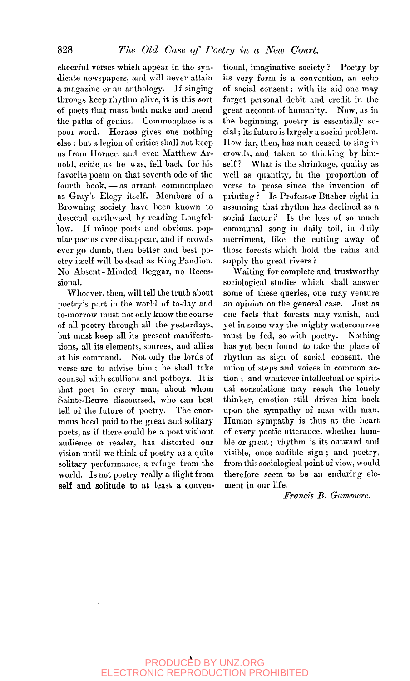cheerful verses which appear in the syndicate newspapers, and will never attain a magazine or an anthology. If singing throngs keep rhythm alive, it is this sort of poets that must both make and mend the paths of genius. Commonplace is a poor word. Horace gives one nothing else ; but a legion of critics shall not keep us from Horace, and even Matthew Arnold, critic as he was, fell back for his favorite poem on that seventh ode of the fourth book, — as arrant commonplace as Gray's Elegy itself. Members of a Browning society have been known to descend earthward by reading Longfellow. If minor poets and obvious, popular poems ever disappear, and if crowds ever go dumb, then better and best poetry itself will be dead as King Pandion. No Absent - Minded Beggar, no Recessional.

Whoever, then, will tell the truth about poetry's part in the world of to-day and to-morrow must not only know the course of all poetry through all the yesterdays, but must keep all its present manifestations, all its elements, sources, and allies at his command. Not only the lords of verse are to advise him ; he shall take counsel with scullions and potboys. It is that poet in every man, about whom Sainte-Beuve discoursed, who can best tell of the future of poetry. The enormous heed paid to the great and solitary poets, as if there could be a poet without audience or reader, has distorted our vision until we think of poetry as a quite solitary performance, a refuge from the world. Is not poetry really a flight from self and solitude to at least a conventional, imaginative society ? Poetry by its very form is a convention, an echo of social consent; with its aid one may forget personal debit and credit in the great account of humanity. Now, as in the beginning, poetry is essentially social ; its future is largely a social problem. How far, then, has man ceased to sing in crowds, and taken to thinking by himself? What is the shrinkage, quality as well as quantity, in the proportion of verse to prose since the invention of printing ? Is Professor Bilcher right in assuming that rhythm has declined as a social factor ? Is the loss of so much communal song in daily toil, in daily merriment, like the cutting away of those forests which hold the rains and supply the great rivers ?

Waiting for complete and trustworthy sociological studies which shall answer some of these queries, one may venture an opinion on the general case. Just as one feels that forests may vanish, and yet in some way the mighty watercourses must be fed, so with poetry. Nothing has yet been found to take the place of rhythm as sign of social consent, the union of steps and voices in common action ; and whatever intellectual or spiritual consolations may reach the lonely thinker, emotion still drives him back upon the sympathy of man with man. Human sympathy is thus at the heart of every poetic utterance, whether humble or great; rhythm is its outward and visible, once audible sign ; and poetry, from this sociological point of view, would therefore seem to be an enduring element in our life.

*Francis B. Gummere.*